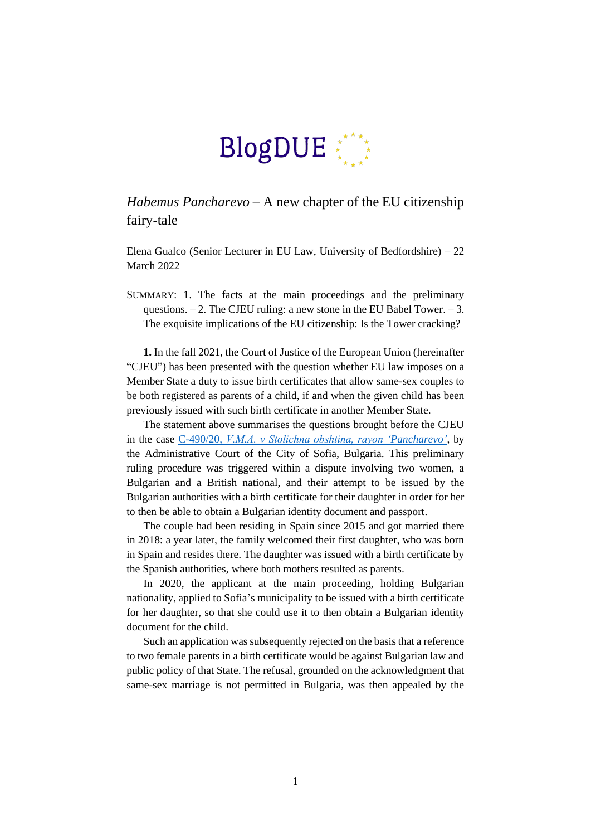

## *Habemus Pancharevo* – A new chapter of the EU citizenship fairy-tale

Elena Gualco (Senior Lecturer in EU Law, University of Bedfordshire) – 22 March 2022

SUMMARY: 1. The facts at the main proceedings and the preliminary questions.  $-2$ . The CJEU ruling: a new stone in the EU Babel Tower.  $-3$ . The exquisite implications of the EU citizenship: Is the Tower cracking?

**1.** In the fall 2021, the Court of Justice of the European Union (hereinafter "CJEU") has been presented with the question whether EU law imposes on a Member State a duty to issue birth certificates that allow same-sex couples to be both registered as parents of a child, if and when the given child has been previously issued with such birth certificate in another Member State.

The statement above summarises the questions brought before the CJEU in the case C-490/20, *[V.М.А. v Stolichna obshtina, rayon 'Pancharevo'](https://curia.europa.eu/juris/document/document.jsf?docid=251201&mode=req&pageIndex=1&dir=&occ=first&part=1&text=&doclang=EN&cid=7347346)*, by the Administrative Court of the City of Sofia, Bulgaria. This preliminary ruling procedure was triggered within a dispute involving two women, a Bulgarian and a British national, and their attempt to be issued by the Bulgarian authorities with a birth certificate for their daughter in order for her to then be able to obtain a Bulgarian identity document and passport.

The couple had been residing in Spain since 2015 and got married there in 2018: a year later, the family welcomed their first daughter, who was born in Spain and resides there. The daughter was issued with a birth certificate by the Spanish authorities, where both mothers resulted as parents.

In 2020, the applicant at the main proceeding, holding Bulgarian nationality, applied to Sofia's municipality to be issued with a birth certificate for her daughter, so that she could use it to then obtain a Bulgarian identity document for the child.

Such an application was subsequently rejected on the basis that a reference to two female parents in a birth certificate would be against Bulgarian law and public policy of that State. The refusal, grounded on the acknowledgment that same-sex marriage is not permitted in Bulgaria, was then appealed by the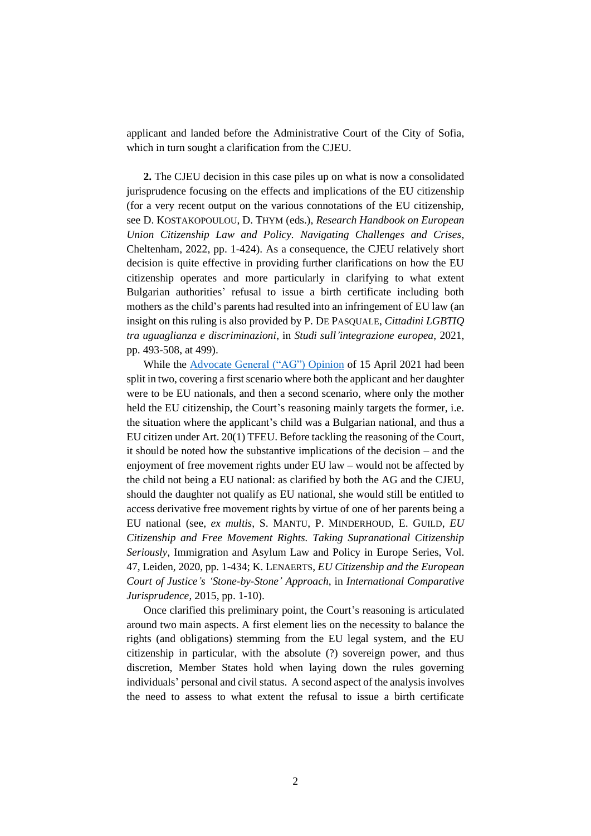applicant and landed before the Administrative Court of the City of Sofia, which in turn sought a clarification from the CJEU.

**2.** The CJEU decision in this case piles up on what is now a consolidated jurisprudence focusing on the effects and implications of the EU citizenship (for a very recent output on the various connotations of the EU citizenship, see D. KOSTAKOPOULOU, D. THYM (eds.), *Research Handbook on European Union Citizenship Law and Policy. Navigating Challenges and Crises*, Cheltenham, 2022, pp. 1-424). As a consequence, the CJEU relatively short decision is quite effective in providing further clarifications on how the EU citizenship operates and more particularly in clarifying to what extent Bulgarian authorities' refusal to issue a birth certificate including both mothers as the child's parents had resulted into an infringement of EU law (an insight on this ruling is also provided by P. DE PASQUALE, *Cittadini LGBTIQ tra uguaglianza e discriminazioni*, in *Studi sull'integrazione europea*, 2021, pp. 493-508, at 499).

While the [Advocate General \("AG"\)](https://curia.europa.eu/juris/document/document.jsf?text=&docid=239902&pageIndex=0&doclang=EN&mode=lst&dir=&occ=first&part=1&cid=406270) Opinion of 15 April 2021 had been split in two, covering a first scenario where both the applicant and her daughter were to be EU nationals, and then a second scenario, where only the mother held the EU citizenship, the Court's reasoning mainly targets the former, i.e. the situation where the applicant's child was a Bulgarian national, and thus a EU citizen under Art. 20(1) TFEU. Before tackling the reasoning of the Court, it should be noted how the substantive implications of the decision – and the enjoyment of free movement rights under EU law – would not be affected by the child not being a EU national: as clarified by both the AG and the CJEU, should the daughter not qualify as EU national, she would still be entitled to access derivative free movement rights by virtue of one of her parents being a EU national (see, *ex multis*, S. MANTU, P. MINDERHOUD, E. GUILD, *EU Citizenship and Free Movement Rights. Taking Supranational Citizenship Seriously*, Immigration and Asylum Law and Policy in Europe Series, Vol. 47, Leiden, 2020, pp. 1-434; K. LENAERTS, *EU Citizenship and the European Court of Justice's 'Stone-by-Stone' Approach*, in *International Comparative Jurisprudence*, 2015, pp. 1-10).

Once clarified this preliminary point, the Court's reasoning is articulated around two main aspects. A first element lies on the necessity to balance the rights (and obligations) stemming from the EU legal system, and the EU citizenship in particular, with the absolute (?) sovereign power, and thus discretion, Member States hold when laying down the rules governing individuals' personal and civil status. A second aspect of the analysis involves the need to assess to what extent the refusal to issue a birth certificate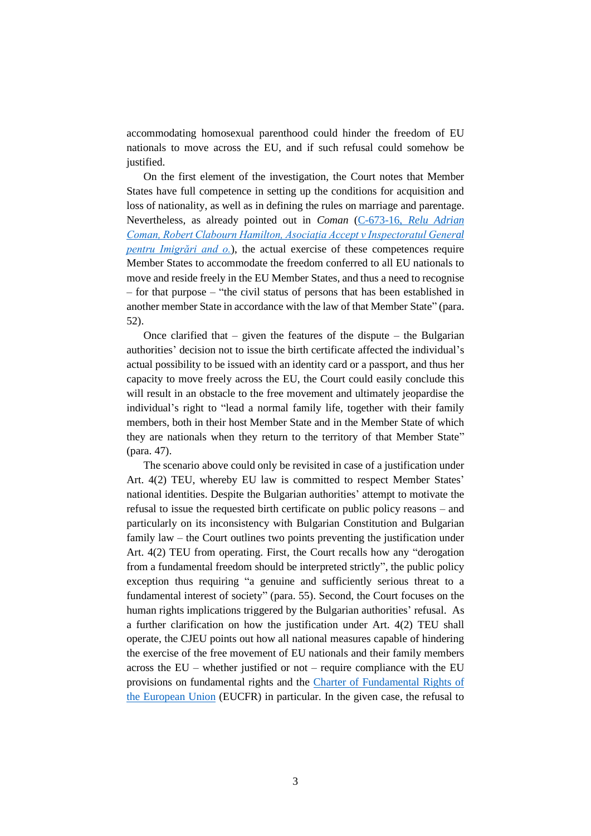accommodating homosexual parenthood could hinder the freedom of EU nationals to move across the EU, and if such refusal could somehow be justified.

On the first element of the investigation, the Court notes that Member States have full competence in setting up the conditions for acquisition and loss of nationality, as well as in defining the rules on marriage and parentage. Nevertheless, as already pointed out in *Coman* (C-673-16, *[Relu Adrian](https://eur-lex.europa.eu/legal-content/EN/TXT/PDF/?uri=CELEX:62016CJ0673&from=EN)  [Coman, Robert Clabourn Hamilton, Asociația Accept v Inspectoratul General](https://eur-lex.europa.eu/legal-content/EN/TXT/PDF/?uri=CELEX:62016CJ0673&from=EN)  [pentru Imigrări and o.](https://eur-lex.europa.eu/legal-content/EN/TXT/PDF/?uri=CELEX:62016CJ0673&from=EN)*), the actual exercise of these competences require Member States to accommodate the freedom conferred to all EU nationals to move and reside freely in the EU Member States, and thus a need to recognise – for that purpose – "the civil status of persons that has been established in another member State in accordance with the law of that Member State" (para. 52).

Once clarified that  $-$  given the features of the dispute  $-$  the Bulgarian authorities' decision not to issue the birth certificate affected the individual's actual possibility to be issued with an identity card or a passport, and thus her capacity to move freely across the EU, the Court could easily conclude this will result in an obstacle to the free movement and ultimately jeopardise the individual's right to "lead a normal family life, together with their family members, both in their host Member State and in the Member State of which they are nationals when they return to the territory of that Member State" (para. 47).

The scenario above could only be revisited in case of a justification under Art. 4(2) TEU, whereby EU law is committed to respect Member States' national identities. Despite the Bulgarian authorities' attempt to motivate the refusal to issue the requested birth certificate on public policy reasons – and particularly on its inconsistency with Bulgarian Constitution and Bulgarian family law – the Court outlines two points preventing the justification under Art. 4(2) TEU from operating. First, the Court recalls how any "derogation from a fundamental freedom should be interpreted strictly", the public policy exception thus requiring "a genuine and sufficiently serious threat to a fundamental interest of society" (para. 55). Second, the Court focuses on the human rights implications triggered by the Bulgarian authorities' refusal. As a further clarification on how the justification under Art. 4(2) TEU shall operate, the CJEU points out how all national measures capable of hindering the exercise of the free movement of EU nationals and their family members across the EU – whether justified or not – require compliance with the EU provisions on fundamental rights and the [Charter of Fundamental Rights](https://eur-lex.europa.eu/legal-content/EN/TXT/PDF/?uri=CELEX:12012P/TXT&from=EN) of [the European Union](https://eur-lex.europa.eu/legal-content/EN/TXT/PDF/?uri=CELEX:12012P/TXT&from=EN) (EUCFR) in particular. In the given case, the refusal to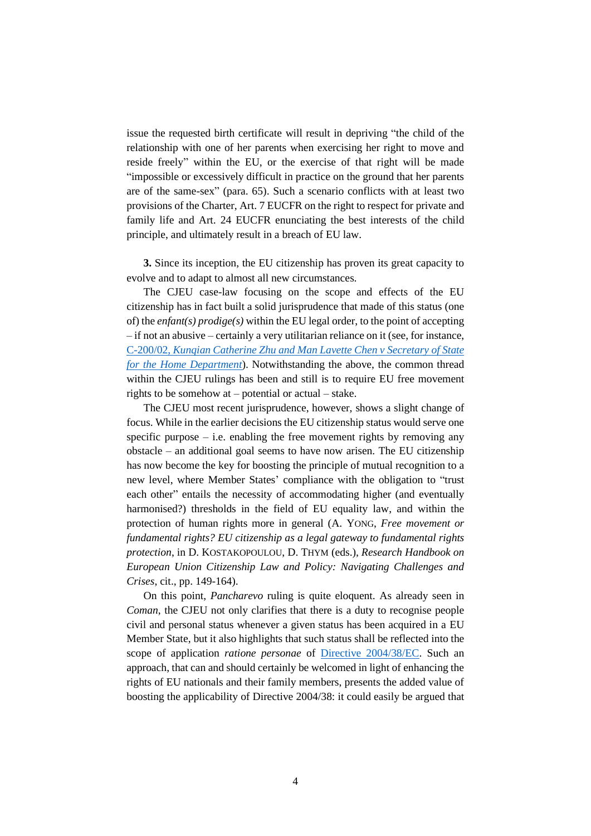issue the requested birth certificate will result in depriving "the child of the relationship with one of her parents when exercising her right to move and reside freely" within the EU, or the exercise of that right will be made "impossible or excessively difficult in practice on the ground that her parents are of the same-sex" (para. 65). Such a scenario conflicts with at least two provisions of the Charter, Art. 7 EUCFR on the right to respect for private and family life and Art. 24 EUCFR enunciating the best interests of the child principle, and ultimately result in a breach of EU law.

**3.** Since its inception, the EU citizenship has proven its great capacity to evolve and to adapt to almost all new circumstances.

The CJEU case-law focusing on the scope and effects of the EU citizenship has in fact built a solid jurisprudence that made of this status (one of) the *enfant(s) prodige(s)* within the EU legal order, to the point of accepting – if not an abusive – certainly a very utilitarian reliance on it (see, for instance, C-200/02, *[Kunqian Catherine Zhu and Man Lavette Chen v Secretary of State](https://eur-lex.europa.eu/legal-content/EN/TXT/PDF/?uri=CELEX:62002CJ0200&from=EN)  [for the Home Department](https://eur-lex.europa.eu/legal-content/EN/TXT/PDF/?uri=CELEX:62002CJ0200&from=EN)*). Notwithstanding the above, the common thread within the CJEU rulings has been and still is to require EU free movement rights to be somehow at – potential or actual – stake.

The CJEU most recent jurisprudence, however, shows a slight change of focus. While in the earlier decisions the EU citizenship status would serve one specific purpose  $-$  i.e. enabling the free movement rights by removing any obstacle – an additional goal seems to have now arisen. The EU citizenship has now become the key for boosting the principle of mutual recognition to a new level, where Member States' compliance with the obligation to "trust each other" entails the necessity of accommodating higher (and eventually harmonised?) thresholds in the field of EU equality law, and within the protection of human rights more in general (A. YONG, *Free movement or fundamental rights? EU citizenship as a legal gateway to fundamental rights protection*, in D. KOSTAKOPOULOU, D. THYM (eds.), *Research Handbook on European Union Citizenship Law and Policy: Navigating Challenges and Crises*, cit., pp. 149-164).

On this point, *Pancharevo* ruling is quite eloquent. As already seen in *Coman*, the CJEU not only clarifies that there is a duty to recognise people civil and personal status whenever a given status has been acquired in a EU Member State, but it also highlights that such status shall be reflected into the scope of application *ratione personae* of [Directive 2004/38/EC.](https://eur-lex.europa.eu/legal-content/EN/TXT/PDF/?uri=CELEX:32004L0038&from=EN) Such an approach, that can and should certainly be welcomed in light of enhancing the rights of EU nationals and their family members, presents the added value of boosting the applicability of Directive 2004/38: it could easily be argued that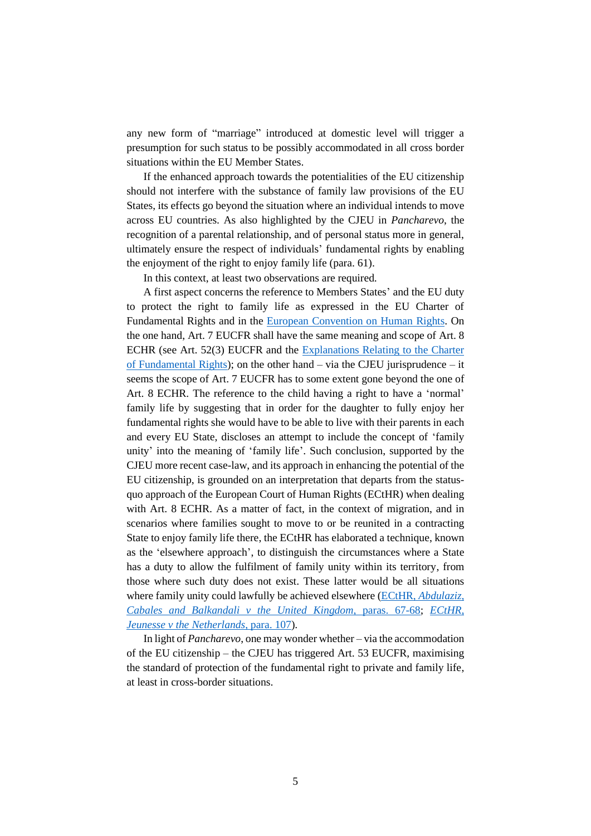any new form of "marriage" introduced at domestic level will trigger a presumption for such status to be possibly accommodated in all cross border situations within the EU Member States.

If the enhanced approach towards the potentialities of the EU citizenship should not interfere with the substance of family law provisions of the EU States, its effects go beyond the situation where an individual intends to move across EU countries. As also highlighted by the CJEU in *Pancharevo*, the recognition of a parental relationship, and of personal status more in general, ultimately ensure the respect of individuals' fundamental rights by enabling the enjoyment of the right to enjoy family life (para. 61).

In this context, at least two observations are required.

A first aspect concerns the reference to Members States' and the EU duty to protect the right to family life as expressed in the EU Charter of Fundamental Rights and in the [European Convention on Human Rights.](https://www.echr.coe.int/Documents/Convention_ENG.pdf) On the one hand, Art. 7 EUCFR shall have the same meaning and scope of Art. 8 ECHR (see Art. 52(3) EUCFR and the [Explanations Relating to the Charter](https://eur-lex.europa.eu/legal-content/EN/TXT/PDF/?uri=CELEX:32007X1214(01)&from=EN)  [of Fundamental Rights\)](https://eur-lex.europa.eu/legal-content/EN/TXT/PDF/?uri=CELEX:32007X1214(01)&from=EN); on the other hand – via the CJEU jurisprudence – it seems the scope of Art. 7 EUCFR has to some extent gone beyond the one of Art. 8 ECHR. The reference to the child having a right to have a 'normal' family life by suggesting that in order for the daughter to fully enjoy her fundamental rights she would have to be able to live with their parents in each and every EU State, discloses an attempt to include the concept of 'family unity' into the meaning of 'family life'. Such conclusion, supported by the CJEU more recent case-law, and its approach in enhancing the potential of the EU citizenship, is grounded on an interpretation that departs from the statusquo approach of the European Court of Human Rights (ECtHR) when dealing with Art. 8 ECHR. As a matter of fact, in the context of migration, and in scenarios where families sought to move to or be reunited in a contracting State to enjoy family life there, the ECtHR has elaborated a technique, known as the 'elsewhere approach', to distinguish the circumstances where a State has a duty to allow the fulfilment of family unity within its territory, from those where such duty does not exist. These latter would be all situations where family unity could lawfully be achieved elsewhere (ECtHR, *[Abdulaziz,](https://hudoc.echr.coe.int/eng#{%22fulltext%22:[%22abdulaziz%22],%22documentcollectionid2%22:[%22GRANDCHAMBER%22,%22CHAMBER%22],%22itemid%22:[%22001-57416%22]})  [Cabales and Balkandali v the United Kingdom](https://hudoc.echr.coe.int/eng#{%22fulltext%22:[%22abdulaziz%22],%22documentcollectionid2%22:[%22GRANDCHAMBER%22,%22CHAMBER%22],%22itemid%22:[%22001-57416%22]})*, paras. 67-68; *[ECtHR,](https://hudoc.echr.coe.int/eng#{%22fulltext%22:[%22jeunesse%22],%22documentcollectionid2%22:[%22GRANDCHAMBER%22,%22CHAMBER%22],%22itemid%22:[%22001-147117%22]})  [Jeunesse v the Netherlands](https://hudoc.echr.coe.int/eng#{%22fulltext%22:[%22jeunesse%22],%22documentcollectionid2%22:[%22GRANDCHAMBER%22,%22CHAMBER%22],%22itemid%22:[%22001-147117%22]})*, para. 107).

In light of *Pancharevo*, one may wonder whether – via the accommodation of the EU citizenship – the CJEU has triggered Art. 53 EUCFR, maximising the standard of protection of the fundamental right to private and family life, at least in cross-border situations.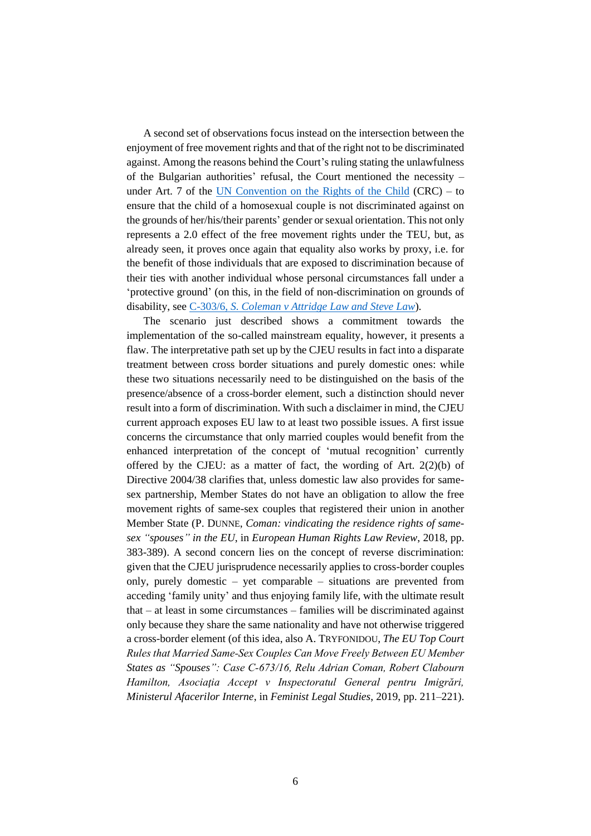A second set of observations focus instead on the intersection between the enjoyment of free movement rights and that of the right not to be discriminated against. Among the reasons behind the Court's ruling stating the unlawfulness of the Bulgarian authorities' refusal, the Court mentioned the necessity – under Art. 7 of the [UN Convention on the Rights of the Child](https://www.unicef.org.uk/what-we-do/un-convention-child-rights/) (CRC) – to ensure that the child of a homosexual couple is not discriminated against on the grounds of her/his/their parents' gender or sexual orientation. This not only represents a 2.0 effect of the free movement rights under the TEU, but, as already seen, it proves once again that equality also works by proxy, i.e. for the benefit of those individuals that are exposed to discrimination because of their ties with another individual whose personal circumstances fall under a 'protective ground' (on this, in the field of non-discrimination on grounds of disability, see C-303/6, *S. Coleman [v Attridge Law and Steve Law](https://eur-lex.europa.eu/legal-content/EN/TXT/PDF/?uri=CELEX:62006CJ0303&from=EN)*).

The scenario just described shows a commitment towards the implementation of the so-called mainstream equality, however, it presents a flaw. The interpretative path set up by the CJEU results in fact into a disparate treatment between cross border situations and purely domestic ones: while these two situations necessarily need to be distinguished on the basis of the presence/absence of a cross-border element, such a distinction should never result into a form of discrimination. With such a disclaimer in mind, the CJEU current approach exposes EU law to at least two possible issues. A first issue concerns the circumstance that only married couples would benefit from the enhanced interpretation of the concept of 'mutual recognition' currently offered by the CJEU: as a matter of fact, the wording of Art.  $2(2)(b)$  of Directive 2004/38 clarifies that, unless domestic law also provides for samesex partnership, Member States do not have an obligation to allow the free movement rights of same-sex couples that registered their union in another Member State (P. DUNNE, *Coman: vindicating the residence rights of samesex "spouses" in the EU*, in *European Human Rights Law Review*, 2018, pp. 383-389). A second concern lies on the concept of reverse discrimination: given that the CJEU jurisprudence necessarily applies to cross-border couples only, purely domestic – yet comparable – situations are prevented from acceding 'family unity' and thus enjoying family life, with the ultimate result that – at least in some circumstances – families will be discriminated against only because they share the same nationality and have not otherwise triggered a cross-border element (of this idea, also A. TRYFONIDOU, *The EU Top Court Rules that Married Same‑Sex Couples Can Move Freely Between EU Member States as "Spouses": Case C‑673/16, Relu Adrian Coman, Robert Clabourn Hamilton, Asociaţia Accept v Inspectoratul General pentru Imigrări, Ministerul Afacerilor Interne*, in *Feminist Legal Studies*, 2019, pp. 211–221).